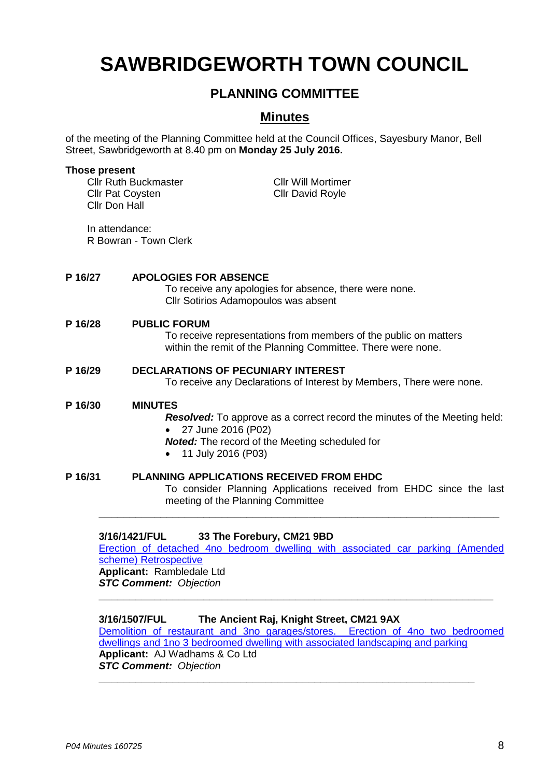# **SAWBRIDGEWORTH TOWN COUNCIL**

## **PLANNING COMMITTEE**

## **Minutes**

of the meeting of the Planning Committee held at the Council Offices, Sayesbury Manor, Bell Street, Sawbridgeworth at 8.40 pm on **Monday 25 July 2016.**

|         | <b>Those present</b><br><b>Cllr Pat Coysten</b><br>Cllr Don Hall                                                                                                                                                   | <b>Cllr Ruth Buckmaster</b><br><b>Cllr Will Mortimer</b><br><b>Cllr David Royle</b>                                                                     |                                                                     |  |
|---------|--------------------------------------------------------------------------------------------------------------------------------------------------------------------------------------------------------------------|---------------------------------------------------------------------------------------------------------------------------------------------------------|---------------------------------------------------------------------|--|
|         | In attendance:<br>R Bowran - Town Clerk                                                                                                                                                                            |                                                                                                                                                         |                                                                     |  |
| P 16/27 |                                                                                                                                                                                                                    | <b>APOLOGIES FOR ABSENCE</b><br>To receive any apologies for absence, there were none.<br>Cllr Sotirios Adamopoulos was absent                          |                                                                     |  |
| P 16/28 |                                                                                                                                                                                                                    | <b>PUBLIC FORUM</b><br>To receive representations from members of the public on matters<br>within the remit of the Planning Committee. There were none. |                                                                     |  |
|         | P 16/29<br><b>DECLARATIONS OF PECUNIARY INTEREST</b><br>To receive any Declarations of Interest by Members, There were none.                                                                                       |                                                                                                                                                         |                                                                     |  |
|         | P 16/30<br><b>MINUTES</b><br><b>Resolved:</b> To approve as a correct record the minutes of the Meeting held:<br>27 June 2016 (P02)<br><b>Noted:</b> The record of the Meeting scheduled for<br>11 July 2016 (P03) |                                                                                                                                                         |                                                                     |  |
| P 16/31 |                                                                                                                                                                                                                    | <b>PLANNING APPLICATIONS RECEIVED FROM EHDC</b><br>meeting of the Planning Committee                                                                    | To consider Planning Applications received from EHDC since the last |  |

### **3/16/1421/FUL 33 The Forebury, CM21 9BD**

[Erection of detached 4no bedroom dwelling with associated car parking \(Amended](https://publicaccess.eastherts.gov.uk/online-applications/applicationDetails.do?activeTab=summary&keyVal=O92ATJGL00X00)  [scheme\) Retrospective](https://publicaccess.eastherts.gov.uk/online-applications/applicationDetails.do?activeTab=summary&keyVal=O92ATJGL00X00) **Applicant:** Rambledale Ltd *STC Comment: Objection*

**\_\_\_\_\_\_\_\_\_\_\_\_\_\_\_\_\_\_\_\_\_\_\_\_\_\_\_\_\_\_\_\_\_\_\_\_\_\_\_\_\_\_\_\_\_\_\_\_\_\_\_\_\_\_\_\_\_\_\_\_\_\_\_\_**

#### **3/16/1507/FUL The Ancient Raj, Knight Street, CM21 9AX**

[Demolition of restaurant and 3no garages/stores. Erection of 4no two bedroomed](https://publicaccess.eastherts.gov.uk/online-applications/applicationDetails.do?activeTab=summary&keyVal=O9MJI5GLKI100)  [dwellings and 1no 3 bedroomed dwelling with associated landscaping and parking](https://publicaccess.eastherts.gov.uk/online-applications/applicationDetails.do?activeTab=summary&keyVal=O9MJI5GLKI100) **Applicant:** AJ Wadhams & Co Ltd *STC Comment: Objection*

**\_\_\_\_\_\_\_\_\_\_\_\_\_\_\_\_\_\_\_\_\_\_\_\_\_\_\_\_\_\_\_\_\_\_\_\_\_\_\_\_\_\_\_\_\_\_\_\_\_\_\_\_\_\_\_\_\_\_\_\_\_**